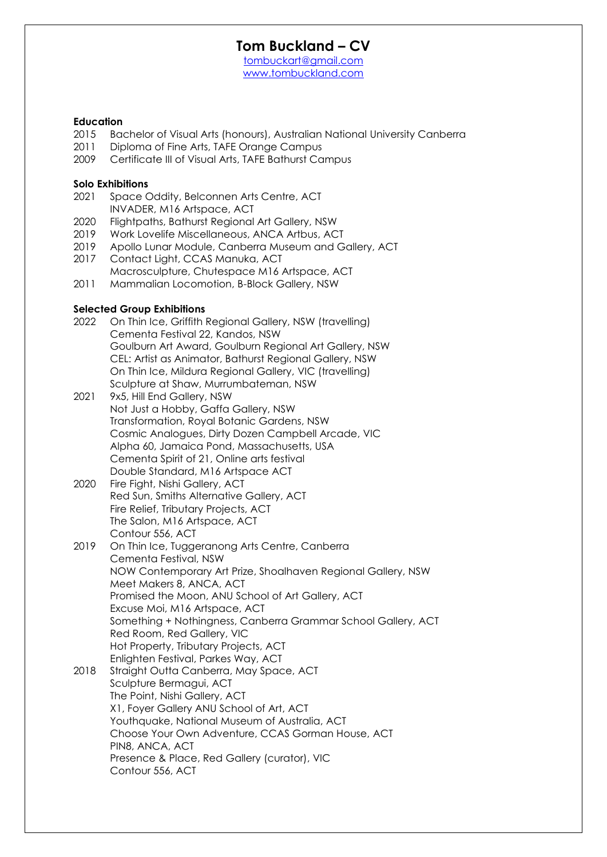[tombuckart@gmail.com](mailto:tombuckart@gmail.com) <www.tombuckland.com>

#### **Education**

- 2015 Bachelor of Visual Arts (honours), Australian National University Canberra
- 2011 Diploma of Fine Arts, TAFE Orange Campus
- 2009 Certificate III of Visual Arts, TAFE Bathurst Campus

#### **Solo Exhibitions**

- 2021 Space Oddity, Belconnen Arts Centre, ACT INVADER, M16 Artspace, ACT
- 2020 Flightpaths, Bathurst Regional Art Gallery, NSW
- 2019 Work Lovelife Miscellaneous, ANCA Artbus, ACT
- 2019 Apollo Lunar Module, Canberra Museum and Gallery, ACT
- 2017 Contact Light, CCAS Manuka, ACT
- Macrosculpture, Chutespace M16 Artspace, ACT
- 2011 Mammalian Locomotion, B-Block Gallery, NSW

#### **Selected Group Exhibitions**

- 2022 On Thin Ice, Griffith Regional Gallery, NSW (travelling) Cementa Festival 22, Kandos, NSW Goulburn Art Award, Goulburn Regional Art Gallery, NSW CEL: Artist as Animator, Bathurst Regional Gallery, NSW On Thin Ice, Mildura Regional Gallery, VIC (travelling) Sculpture at Shaw, Murrumbateman, NSW
- 2021 9x5, Hill End Gallery, NSW Not Just a Hobby, Gaffa Gallery, NSW Transformation, Royal Botanic Gardens, NSW Cosmic Analogues, Dirty Dozen Campbell Arcade, VIC Alpha 60, Jamaica Pond, Massachusetts, USA Cementa Spirit of 21, Online arts festival Double Standard, M16 Artspace ACT
- 2020 Fire Fight, Nishi Gallery, ACT Red Sun, Smiths Alternative Gallery, ACT Fire Relief, Tributary Projects, ACT The Salon, M16 Artspace, ACT Contour 556, ACT
- 2019 On Thin Ice, Tuggeranong Arts Centre, Canberra Cementa Festival, NSW NOW Contemporary Art Prize, Shoalhaven Regional Gallery, NSW Meet Makers 8, ANCA, ACT Promised the Moon, ANU School of Art Gallery, ACT Excuse Moi, M16 Artspace, ACT Something + Nothingness, Canberra Grammar School Gallery, ACT Red Room, Red Gallery, VIC Hot Property, Tributary Projects, ACT Enlighten Festival, Parkes Way, ACT
- 2018 Straight Outta Canberra, May Space, ACT Sculpture Bermagui, ACT The Point, Nishi Gallery, ACT X1, Foyer Gallery ANU School of Art, ACT Youthquake, National Museum of Australia, ACT Choose Your Own Adventure, CCAS Gorman House, ACT PIN8, ANCA, ACT Presence & Place, Red Gallery (curator), VIC Contour 556, ACT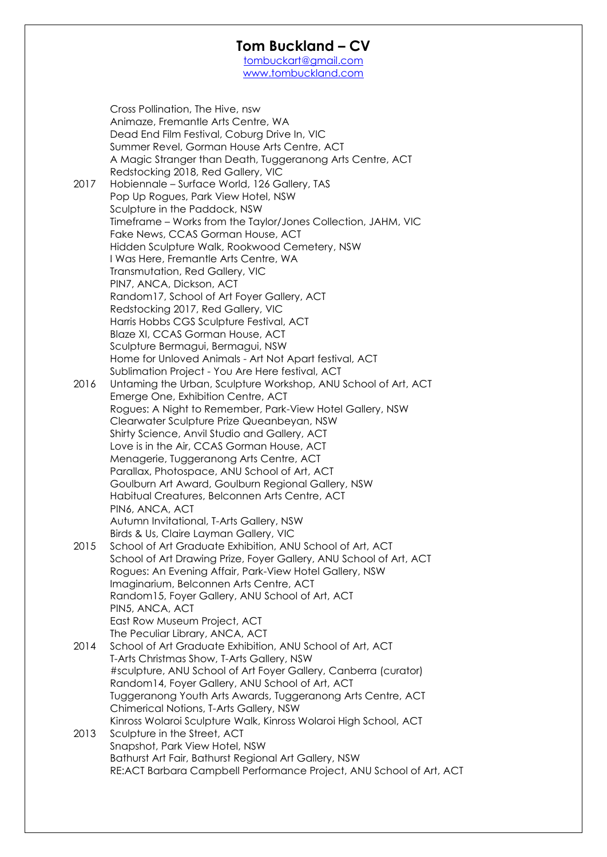[tombuckart@gmail.com](mailto:tombuckart@gmail.com) <www.tombuckland.com>

Cross Pollination, The Hive, nsw Animaze, Fremantle Arts Centre, WA Dead End Film Festival, Coburg Drive In, VIC Summer Revel, Gorman House Arts Centre, ACT A Magic Stranger than Death, Tuggeranong Arts Centre, ACT Redstocking 2018, Red Gallery, VIC 2017 Hobiennale – Surface World, 126 Gallery, TAS Pop Up Rogues, Park View Hotel, NSW Sculpture in the Paddock, NSW Timeframe – Works from the Taylor/Jones Collection, JAHM, VIC Fake News, CCAS Gorman House, ACT Hidden Sculpture Walk, Rookwood Cemetery, NSW I Was Here, Fremantle Arts Centre, WA Transmutation, Red Gallery, VIC PIN7, ANCA, Dickson, ACT Random17, School of Art Foyer Gallery, ACT Redstocking 2017, Red Gallery, VIC Harris Hobbs CGS Sculpture Festival, ACT Blaze XI, CCAS Gorman House, ACT Sculpture Bermagui, Bermagui, NSW Home for Unloved Animals - Art Not Apart festival, ACT Sublimation Project - You Are Here festival, ACT 2016 Untaming the Urban, Sculpture Workshop, ANU School of Art, ACT Emerge One, Exhibition Centre, ACT Rogues: A Night to Remember, Park-View Hotel Gallery, NSW Clearwater Sculpture Prize Queanbeyan, NSW Shirty Science, Anvil Studio and Gallery, ACT Love is in the Air, CCAS Gorman House, ACT Menagerie, Tuggeranong Arts Centre, ACT Parallax, Photospace, ANU School of Art, ACT Goulburn Art Award, Goulburn Regional Gallery, NSW Habitual Creatures, Belconnen Arts Centre, ACT PIN6, ANCA, ACT Autumn Invitational, T-Arts Gallery, NSW Birds & Us, Claire Layman Gallery, VIC 2015 School of Art Graduate Exhibition, ANU School of Art, ACT School of Art Drawing Prize, Foyer Gallery, ANU School of Art, ACT Rogues: An Evening Affair, Park-View Hotel Gallery, NSW Imaginarium, Belconnen Arts Centre, ACT Random15, Foyer Gallery, ANU School of Art, ACT PIN5, ANCA, ACT East Row Museum Project, ACT The Peculiar Library, ANCA, ACT 2014 School of Art Graduate Exhibition, ANU School of Art, ACT T-Arts Christmas Show, T-Arts Gallery, NSW #sculpture, ANU School of Art Foyer Gallery, Canberra (curator) Random14, Foyer Gallery, ANU School of Art, ACT Tuggeranong Youth Arts Awards, Tuggeranong Arts Centre, ACT Chimerical Notions, T-Arts Gallery, NSW Kinross Wolaroi Sculpture Walk, Kinross Wolaroi High School, ACT 2013 Sculpture in the Street, ACT Snapshot, Park View Hotel, NSW Bathurst Art Fair, Bathurst Regional Art Gallery, NSW RE:ACT Barbara Campbell Performance Project, ANU School of Art, ACT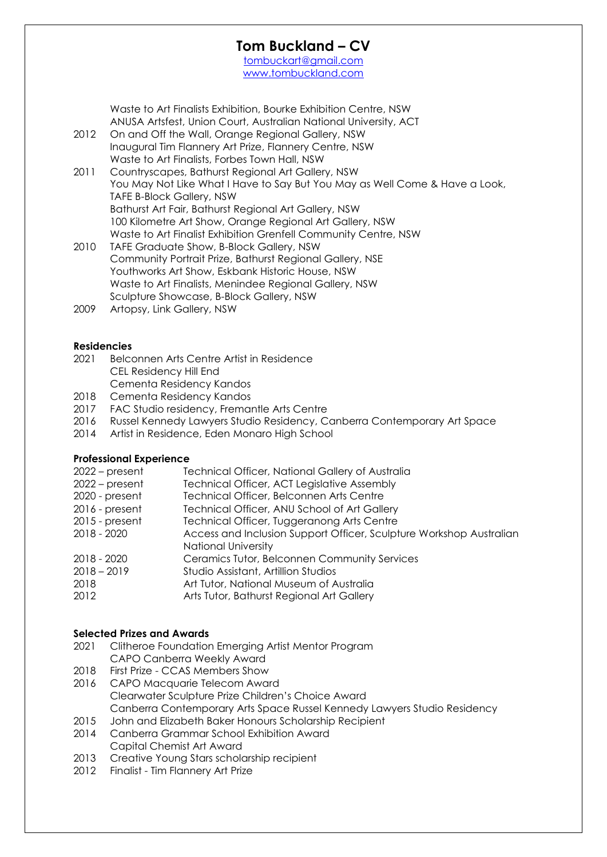[tombuckart@gmail.com](mailto:tombuckart@gmail.com) <www.tombuckland.com>

Waste to Art Finalists Exhibition, Bourke Exhibition Centre, NSW ANUSA Artsfest, Union Court, Australian National University, ACT 2012 On and Off the Wall, Orange Regional Gallery, NSW Inaugural Tim Flannery Art Prize, Flannery Centre, NSW Waste to Art Finalists, Forbes Town Hall, NSW 2011 Countryscapes, Bathurst Regional Art Gallery, NSW You May Not Like What I Have to Say But You May as Well Come & Have a Look, TAFE B-Block Gallery, NSW Bathurst Art Fair, Bathurst Regional Art Gallery, NSW 100 Kilometre Art Show, Orange Regional Art Gallery, NSW Waste to Art Finalist Exhibition Grenfell Community Centre, NSW 2010 TAFE Graduate Show, B-Block Gallery, NSW Community Portrait Prize, Bathurst Regional Gallery, NSE Youthworks Art Show, Eskbank Historic House, NSW Waste to Art Finalists, Menindee Regional Gallery, NSW Sculpture Showcase, B-Block Gallery, NSW 2009 Artopsy, Link Gallery, NSW

#### **Residencies**

- 2021 Belconnen Arts Centre Artist in Residence CEL Residency Hill End Cementa Residency Kandos
- 2018 Cementa Residency Kandos
- 2017 FAC Studio residency, Fremantle Arts Centre
- 2016 Russel Kennedy Lawyers Studio Residency, Canberra Contemporary Art Space
- 2014 Artist in Residence, Eden Monaro High School

### **Professional Experience**

| Technical Officer, National Gallery of Australia                    |
|---------------------------------------------------------------------|
| Technical Officer, ACT Legislative Assembly                         |
| Technical Officer, Belconnen Arts Centre                            |
| Technical Officer, ANU School of Art Gallery                        |
| Technical Officer, Tuggeranong Arts Centre                          |
| Access and Inclusion Support Officer, Sculpture Workshop Australian |
| <b>National University</b>                                          |
| Ceramics Tutor, Belconnen Community Services                        |
| Studio Assistant, Artillion Studios                                 |
| Art Tutor, National Museum of Australia                             |
| Arts Tutor, Bathurst Regional Art Gallery                           |
|                                                                     |

#### **Selected Prizes and Awards**

- 2021 Clitheroe Foundation Emerging Artist Mentor Program CAPO Canberra Weekly Award
- 2018 First Prize CCAS Members Show 2016 CAPO Macquarie Telecom Award Clearwater Sculpture Prize Children's Choice Award Canberra Contemporary Arts Space Russel Kennedy Lawyers Studio Residency
- 2015 John and Elizabeth Baker Honours Scholarship Recipient
- 2014 Canberra Grammar School Exhibition Award Capital Chemist Art Award
- 2013 Creative Young Stars scholarship recipient
- 2012 Finalist Tim Flannery Art Prize